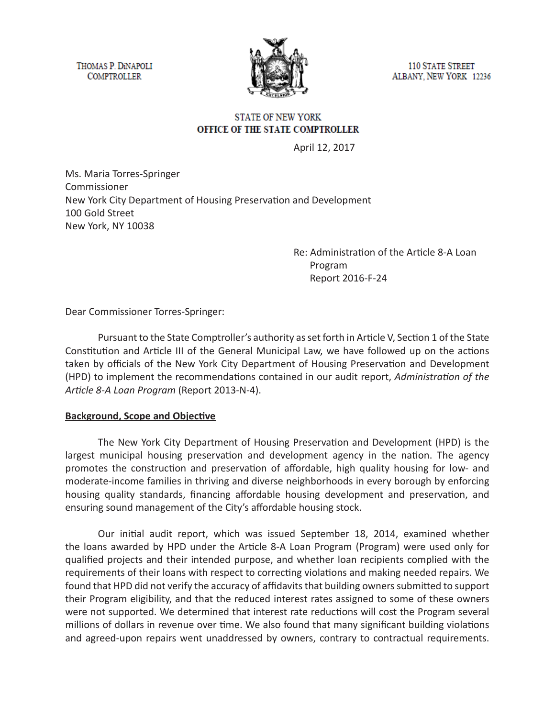THOMAS P. DINAPOLI **COMPTROLLER** 



**110 STATE STREET** ALBANY, NEW YORK 12236

### **STATE OF NEW YORK** OFFICE OF THE STATE COMPTROLLER

April 12, 2017

Ms. Maria Torres-Springer Commissioner New York City Department of Housing Preservation and Development 100 Gold Street New York, NY 10038

> Re: Administration of the Article 8-A Loan Program Report 2016-F-24

Dear Commissioner Torres-Springer:

Pursuant to the State Comptroller's authority as set forth in Article V, Section 1 of the State Constitution and Article III of the General Municipal Law, we have followed up on the actions taken by officials of the New York City Department of Housing Preservation and Development (HPD) to implement the recommendations contained in our audit report, *Administration of the Article 8-A Loan Program* (Report 2013-N-4).

#### **Background, Scope and Objective**

The New York City Department of Housing Preservation and Development (HPD) is the largest municipal housing preservation and development agency in the nation. The agency promotes the construction and preservation of affordable, high quality housing for low- and moderate-income families in thriving and diverse neighborhoods in every borough by enforcing housing quality standards, financing affordable housing development and preservation, and ensuring sound management of the City's affordable housing stock.

Our initial audit report, which was issued September 18, 2014, examined whether the loans awarded by HPD under the Article 8-A Loan Program (Program) were used only for qualified projects and their intended purpose, and whether loan recipients complied with the requirements of their loans with respect to correcting violations and making needed repairs. We found that HPD did not verify the accuracy of affidavits that building owners submitted to support their Program eligibility, and that the reduced interest rates assigned to some of these owners were not supported. We determined that interest rate reductions will cost the Program several millions of dollars in revenue over time. We also found that many significant building violations and agreed-upon repairs went unaddressed by owners, contrary to contractual requirements.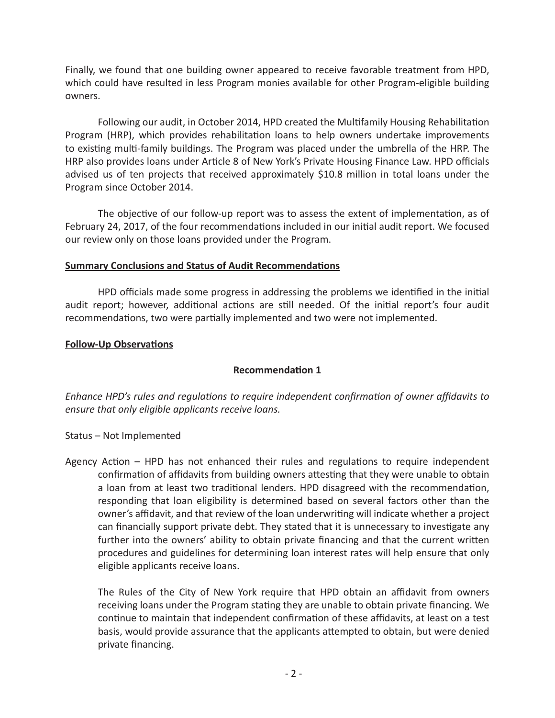Finally, we found that one building owner appeared to receive favorable treatment from HPD, which could have resulted in less Program monies available for other Program-eligible building owners.

Following our audit, in October 2014, HPD created the Multifamily Housing Rehabilitation Program (HRP), which provides rehabilitation loans to help owners undertake improvements to existing multi-family buildings. The Program was placed under the umbrella of the HRP. The HRP also provides loans under Article 8 of New York's Private Housing Finance Law. HPD officials advised us of ten projects that received approximately \$10.8 million in total loans under the Program since October 2014.

The objective of our follow-up report was to assess the extent of implementation, as of February 24, 2017, of the four recommendations included in our initial audit report. We focused our review only on those loans provided under the Program.

### **Summary Conclusions and Status of Audit Recommendations**

HPD officials made some progress in addressing the problems we identified in the initial audit report; however, additional actions are still needed. Of the initial report's four audit recommendations, two were partially implemented and two were not implemented.

### **Follow-Up Observations**

# **Recommendation 1**

*Enhance HPD's rules and regulations to require independent confirmation of owner affidavits to ensure that only eligible applicants receive loans.*

- Status Not Implemented
- Agency Action HPD has not enhanced their rules and regulations to require independent confirmation of affidavits from building owners attesting that they were unable to obtain a loan from at least two traditional lenders. HPD disagreed with the recommendation, responding that loan eligibility is determined based on several factors other than the owner's affidavit, and that review of the loan underwriting will indicate whether a project can financially support private debt. They stated that it is unnecessary to investigate any further into the owners' ability to obtain private financing and that the current written procedures and guidelines for determining loan interest rates will help ensure that only eligible applicants receive loans.

The Rules of the City of New York require that HPD obtain an affidavit from owners receiving loans under the Program stating they are unable to obtain private financing. We continue to maintain that independent confirmation of these affidavits, at least on a test basis, would provide assurance that the applicants attempted to obtain, but were denied private financing.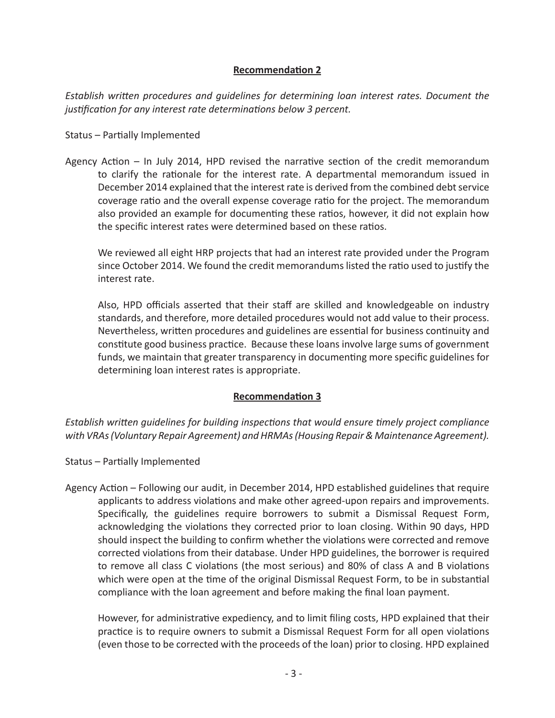# **Recommendation 2**

*Establish written procedures and guidelines for determining loan interest rates. Document the justification for any interest rate determinations below 3 percent.*

### Status – Partially Implemented

Agency Action – In July 2014, HPD revised the narrative section of the credit memorandum to clarify the rationale for the interest rate. A departmental memorandum issued in December 2014 explained that the interest rate is derived from the combined debt service coverage ratio and the overall expense coverage ratio for the project. The memorandum also provided an example for documenting these ratios, however, it did not explain how the specific interest rates were determined based on these ratios.

We reviewed all eight HRP projects that had an interest rate provided under the Program since October 2014. We found the credit memorandums listed the ratio used to justify the interest rate.

Also, HPD officials asserted that their staff are skilled and knowledgeable on industry standards, and therefore, more detailed procedures would not add value to their process. Nevertheless, written procedures and guidelines are essential for business continuity and constitute good business practice. Because these loans involve large sums of government funds, we maintain that greater transparency in documenting more specific guidelines for determining loan interest rates is appropriate.

# **Recommendation 3**

*Establish written guidelines for building inspections that would ensure timely project compliance with VRAs (Voluntary Repair Agreement) and HRMAs (Housing Repair & Maintenance Agreement).*

# Status – Partially Implemented

Agency Action – Following our audit, in December 2014, HPD established guidelines that require applicants to address violations and make other agreed-upon repairs and improvements. Specifically, the guidelines require borrowers to submit a Dismissal Request Form, acknowledging the violations they corrected prior to loan closing. Within 90 days, HPD should inspect the building to confirm whether the violations were corrected and remove corrected violations from their database. Under HPD guidelines, the borrower is required to remove all class C violations (the most serious) and 80% of class A and B violations which were open at the time of the original Dismissal Request Form, to be in substantial compliance with the loan agreement and before making the final loan payment.

However, for administrative expediency, and to limit filing costs, HPD explained that their practice is to require owners to submit a Dismissal Request Form for all open violations (even those to be corrected with the proceeds of the loan) prior to closing. HPD explained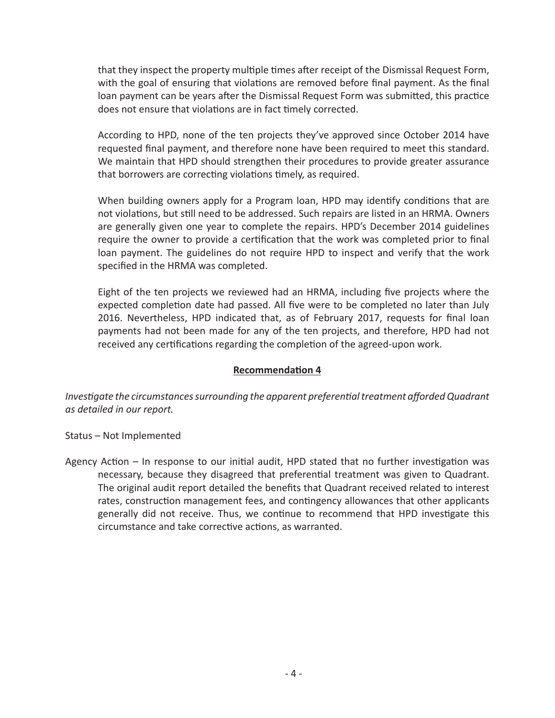that they inspect the property multiple times after receipt of the Dismissal Request Form, with the goal of ensuring that violations are removed before final payment. As the final loan payment can be years after the Dismissal Request Form was submitted, this practice does not ensure that violations are in fact timely corrected.

According to HPD, none of the ten projects they've approved since October 2014 have requested final payment, and therefore none have been required to meet this standard. We maintain that HPD should strengthen their procedures to provide greater assurance that borrowers are correcting violations timely, as required.

When building owners apply for a Program loan, HPD may identify conditions that are not violations, but still need to be addressed. Such repairs are listed in an HRMA. Owners are generally given one year to complete the repairs. HPD's December 2014 guidelines require the owner to provide a certification that the work was completed prior to final loan payment. The guidelines do not require HPD to inspect and verify that the work specified in the HRMA was completed.

Eight of the ten projects we reviewed had an HRMA, including five projects where the expected completion date had passed. All five were to be completed no later than July 2016. Nevertheless, HPD indicated that, as of February 2017, requests for final loan payments had not been made for any of the ten projects, and therefore, HPD had not received any certifications regarding the completion of the agreed-upon work.

#### **Recommendation 4**

*Investigate the circumstances surrounding the apparent preferential treatment afforded Quadrant as detailed in our report.*

Status – Not Implemented

Agency Action – In response to our initial audit, HPD stated that no further investigation was necessary, because they disagreed that preferential treatment was given to Quadrant. The original audit report detailed the benefits that Quadrant received related to interest rates, construction management fees, and contingency allowances that other applicants generally did not receive. Thus, we continue to recommend that HPD investigate this circumstance and take corrective actions, as warranted.